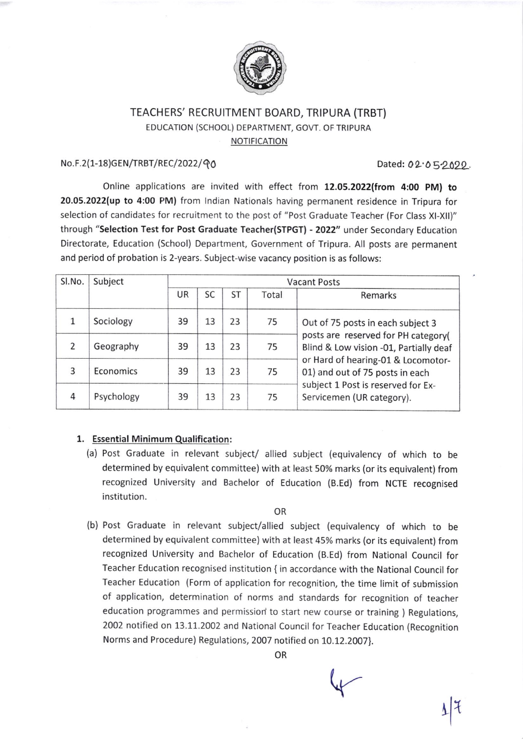

# TEACHERS' RECRUITMENT BOARD, TRIPURA (TRBT) EDUCATION (SCHOOL) DEPARTMENT, GOVT. OF TRIPURA NOTIFICATION

### No.F.2(1-18)GEN/TRBT/REC/2022/90

Dated:  $02.05.2029$ .

Online applications are invited with effect from 12.05.2022(from 4:00 PM) to 20.05.2022(up to 4:00 PM) from lndian Nationals having permanent residence in Tripura for selection of candidates for recruitment to the post of "Post Graduate Teacher (For Class Xl-Xll)" through "Selection Test for Post Graduate Teacher(STPGT) - 2022" under Secondary Education Directorate, Education (School) Department, Government of Tripura. All posts are permanent and period of probation is 2-years. Subject-wise vacancy position is as follows:

| Sl.No.        | Subject    | <b>Vacant Posts</b> |    |    |       |                                                                                                                                                                                                                                                                |
|---------------|------------|---------------------|----|----|-------|----------------------------------------------------------------------------------------------------------------------------------------------------------------------------------------------------------------------------------------------------------------|
|               |            | UR                  | SC | ST | Total | Remarks                                                                                                                                                                                                                                                        |
|               | Sociology  | 39                  | 13 | 23 | 75    | Out of 75 posts in each subject 3<br>posts are reserved for PH category(<br>Blind & Low vision -01, Partially deaf<br>or Hard of hearing-01 & Locomotor-<br>01) and out of 75 posts in each<br>subject 1 Post is reserved for Ex-<br>Servicemen (UR category). |
| $\mathcal{P}$ | Geography  | 39                  | 13 | 23 | 75    |                                                                                                                                                                                                                                                                |
| 3             | Economics  | 39                  | 13 | 23 | 75    |                                                                                                                                                                                                                                                                |
| 4             | Psychology | 39                  | 13 | 23 | 75    |                                                                                                                                                                                                                                                                |

## 1. Essential Minimum Qualification:

(a) Post Graduate in relevant subject/ allied subject (equivalency of which to be determined by equivalent committee) with at least 50% marks (or its equivalent) from recognized University and Bachelor of Education (B.Ed) from NCTE recognised institution.

OR

(b) Post Graduate in relevant subject/allied subject (equivalency of which to be determined by equivalent committee) with at least 45% marks (or its equivalent) from recognized University and Bachelor of Education (B.Ed) from National Council for Teacher Education recognised institution { in accordance with the National council for Teacher Education (Form of application for recognition, the time limit of submission of application, determination of norms and standards for recognition of teacher education programmes and permission to start new course or training ) Regulations, 2002 notified on 13.11.2002 and National Council for Teacher Education (Recognition Norms and Procedure) Regulations, 2007 notified on 10.12.2007).